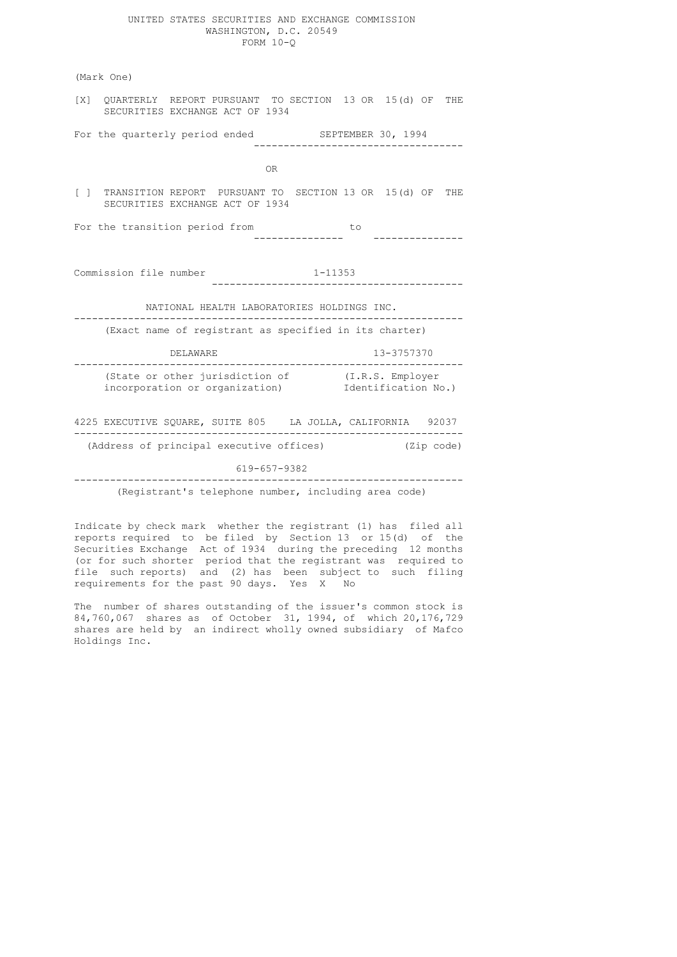#### UNITED STATES SECURITIES AND EXCHANGE COMMISSION WASHINGTON, D.C. 20549 FORM 10-Q

 (Mark One) [X] QUARTERLY REPORT PURSUANT TO SECTION 13 OR 15(d) OF THE SECURITIES EXCHANGE ACT OF 1934 For the quarterly period ended SEPTEMBER 30, 1994 ----------------------------------- OR [ ] TRANSITION REPORT PURSUANT TO SECTION 13 OR 15(d) OF THE SECURITIES EXCHANGE ACT OF 1934 For the transition period from --------------- --------------- Commission file number 1-11353 ------------------------------------------ NATIONAL HEALTH LABORATORIES HOLDINGS INC. ----------------------------------------------------------------- (Exact name of registrant as specified in its charter) DELAWARE 13-3757370 ----------------------------------------------------------------- (State or other jurisdiction of (I.R.S. Employer incorporation or organization) Identification No.) 4225 EXECUTIVE SQUARE, SUITE 805 LA JOLLA, CALIFORNIA 92037 ----------------------------------------------------------------- (Address of principal executive offices) (Zip code) 619-657-9382 -----------------------------------------------------------------

(Registrant's telephone number, including area code)

 Indicate by check mark whether the registrant (1) has filed all reports required to be filed by Section 13 or 15(d) of the Securities Exchange Act of 1934 during the preceding 12 months (or for such shorter period that the registrant was required to file such reports) and (2) has been subject to such filing requirements for the past 90 days. Yes X No

> The number of shares outstanding of the issuer's common stock is 84,760,067 shares as of October 31, 1994, of which 20,176,729 shares are held by an indirect wholly owned subsidiary of Mafco Holdings Inc.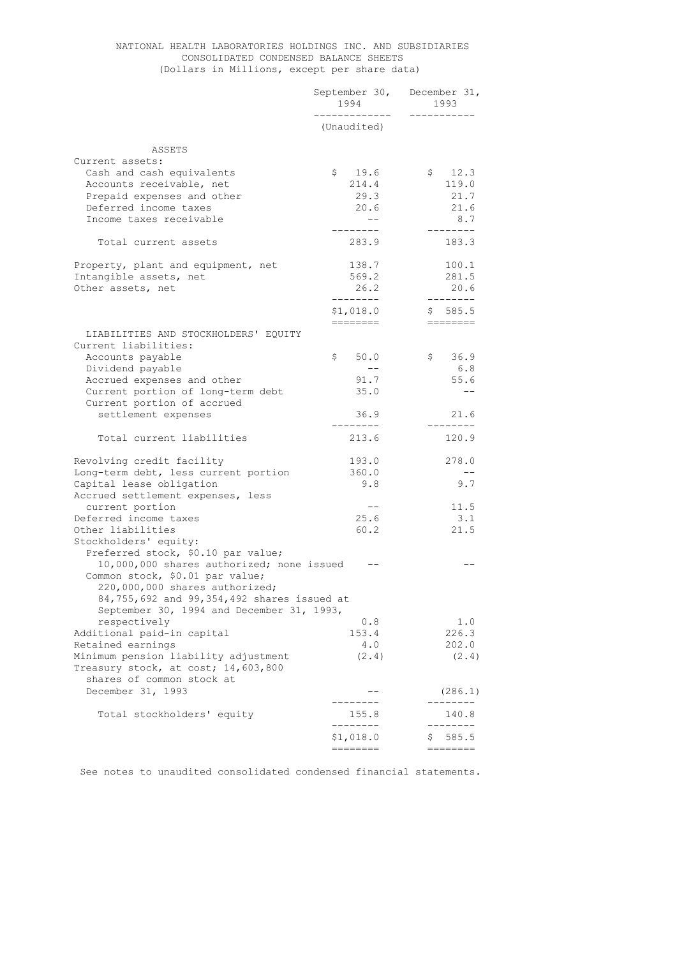# NATIONAL HEALTH LABORATORIES HOLDINGS INC. AND SUBSIDIARIES CONSOLIDATED CONDENSED BALANCE SHEETS (Dollars in Millions, except per share data)

|                                                                              | September 30, December 31,<br>1994<br>------------ | 1993<br>___________  |  |
|------------------------------------------------------------------------------|----------------------------------------------------|----------------------|--|
|                                                                              | (Unaudited)                                        |                      |  |
| ASSETS                                                                       |                                                    |                      |  |
| Current assets:                                                              |                                                    |                      |  |
| Cash and cash equivalents                                                    | $\mathsf{S}$<br>19.6                               | \$12.3               |  |
| Accounts receivable, net                                                     | 214.4                                              | 119.0                |  |
| Prepaid expenses and other                                                   | 29.3                                               | 21.7                 |  |
| Deferred income taxes                                                        | 20.6                                               | 21.6                 |  |
| Income taxes receivable                                                      | $--$                                               | 8.7                  |  |
|                                                                              | ---------                                          | ---------            |  |
| Total current assets                                                         | 283.9                                              | 183.3                |  |
| Property, plant and equipment, net                                           | 138.7                                              | 100.1                |  |
| Intangible assets, net                                                       | 569.2                                              | 281.5                |  |
| Other assets, net                                                            | 26.2                                               | 20.6                 |  |
|                                                                              | --------<br>\$1,018.0                              | ---------<br>\$585.5 |  |
|                                                                              | ---------                                          |                      |  |
| LIABILITIES AND STOCKHOLDERS' EQUITY                                         |                                                    |                      |  |
| Current liabilities:                                                         |                                                    |                      |  |
| Accounts payable                                                             | \$<br>50.0                                         | \$36.9               |  |
| Dividend payable                                                             | $- -$                                              | 6.8                  |  |
| Accrued expenses and other                                                   | 91.7                                               | 55.6                 |  |
| Current portion of long-term debt                                            | 35.0                                               |                      |  |
| Current portion of accrued                                                   |                                                    | 21.6                 |  |
| settlement expenses                                                          | 36.9<br>---------                                  | ---------            |  |
| Total current liabilities                                                    | 213.6                                              | 120.9                |  |
| Revolving credit facility                                                    | 193.0                                              | 278.0                |  |
| Long-term debt, less current portion                                         | 360.0                                              | $-$                  |  |
| Capital lease obligation                                                     | 9.8                                                | 9.7                  |  |
| Accrued settlement expenses, less                                            |                                                    |                      |  |
| current portion                                                              | $- -$                                              | 11.5                 |  |
| Deferred income taxes                                                        | 25.6                                               | 3.1                  |  |
| Other liabilities                                                            | 60.2                                               | 21.5                 |  |
| Stockholders' equity:                                                        |                                                    |                      |  |
| Preferred stock, \$0.10 par value;                                           |                                                    |                      |  |
| 10,000,000 shares authorized; none issued<br>Common stock, \$0.01 par value; |                                                    |                      |  |
| 220,000,000 shares authorized;                                               |                                                    |                      |  |
| 84,755,692 and 99,354,492 shares issued at                                   |                                                    |                      |  |
| September 30, 1994 and December 31, 1993,                                    |                                                    |                      |  |
| respectively                                                                 | 0.8                                                | 1.0                  |  |
| Additional paid-in capital                                                   | 153.4                                              | 226.3                |  |
| Retained earnings                                                            | 4.0                                                | 202.0                |  |
| Minimum pension liability adjustment                                         | (2.4)                                              | (2.4)                |  |
| Treasury stock, at cost; 14,603,800                                          |                                                    |                      |  |
| shares of common stock at                                                    |                                                    |                      |  |
| December 31, 1993                                                            | -------                                            | (286.1)              |  |
| Total stockholders' equity                                                   | 155.8                                              | 140.8                |  |
|                                                                              | --------                                           |                      |  |
|                                                                              | \$1,018.0                                          | 585.5<br>Ş.          |  |
|                                                                              | ========                                           |                      |  |

See notes to unaudited consolidated condensed financial statements.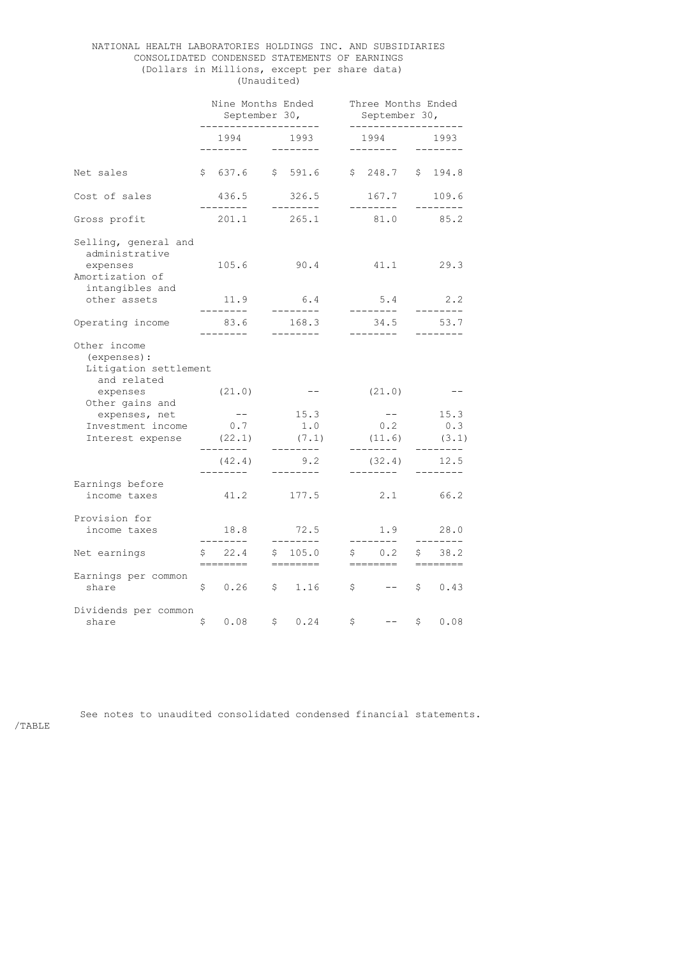# NATIONAL HEALTH LABORATORIES HOLDINGS INC. AND SUBSIDIARIES CONSOLIDATED CONDENSED STATEMENTS OF EARNINGS (Dollars in Millions, except per share data) (Unaudited)

|                                                                                                          | Nine Months Ended<br>September 30,<br>___________________ |                    |                                                           | Three Months Ended<br>September 30,<br>------------------- |  |
|----------------------------------------------------------------------------------------------------------|-----------------------------------------------------------|--------------------|-----------------------------------------------------------|------------------------------------------------------------|--|
|                                                                                                          | 1994<br>---------                                         | 1993<br>---------  | 1994<br>________                                          | 1993<br>--------                                           |  |
| Net sales                                                                                                | \$637.6                                                   | \$591.6            | \$248.7                                                   | \$194.8                                                    |  |
| Cost of sales                                                                                            | 436.5<br>---------                                        | 326.5<br>--------- | 167.7                                                     | 109.6                                                      |  |
| Gross profit                                                                                             | 201.1                                                     | 265.1              | ---------<br>81.0                                         | 85.2                                                       |  |
| Selling, general and<br>administrative<br>expenses<br>Amortization of<br>intangibles and<br>other assets | 105.6<br>11.9                                             | 90.4<br>6.4        | 41.1<br>5.4                                               | 29.3<br>2.2                                                |  |
|                                                                                                          | --------                                                  | ---------          | --------                                                  | . <u>.</u> .                                               |  |
| Operating income                                                                                         | 83.6<br>-------                                           | 168.3<br>--------- | 34.5<br>-------                                           | 53.7                                                       |  |
| Other income<br>(expenses) :<br>Litigation settlement<br>and related                                     |                                                           |                    |                                                           |                                                            |  |
| expenses<br>Other gains and                                                                              | (21.0)                                                    | $--$               | (21.0)                                                    |                                                            |  |
| expenses, net                                                                                            | $--$                                                      | 15.3               | $--$                                                      | 15.3                                                       |  |
| Investment income                                                                                        | 0.7                                                       | 1.0                | 0.2                                                       | 0.3                                                        |  |
| Interest expense (22.1)                                                                                  | --------                                                  | (7.1)<br>--------  | (11.6)<br>--------                                        | (3.1)<br>------                                            |  |
|                                                                                                          | (42.4)<br>. _ _ _ _ _ _ _                                 | 9.2<br>--------    | (32.4)<br>---------                                       | 12.5                                                       |  |
| Earnings before<br>income taxes                                                                          | 41.2                                                      | 177.5              | 2.1                                                       | 66.2                                                       |  |
| Provision for<br>income taxes                                                                            | 18.8<br>. <u>.</u> .                                      | 72.5<br>--------   | 1.9<br>---------                                          | 28.0                                                       |  |
| Net earnings                                                                                             | 22.4<br>\$<br>======                                      | 105.0<br>\$        | 0.2<br>$\mathsf{S}$ . The set of $\mathsf{S}$<br>. ______ | 38.2<br>\$                                                 |  |
| Earnings per common<br>share                                                                             | \$0.26                                                    | \$1.16             | $\begin{array}{ccc} \text{S} & & \text{-} \end{array}$    | \$0.43                                                     |  |
| Dividends per common<br>share                                                                            | \$<br>0.08                                                | \$<br>0.24         | \$                                                        | \$<br>0.08                                                 |  |

See notes to unaudited consolidated condensed financial statements.

/TABLE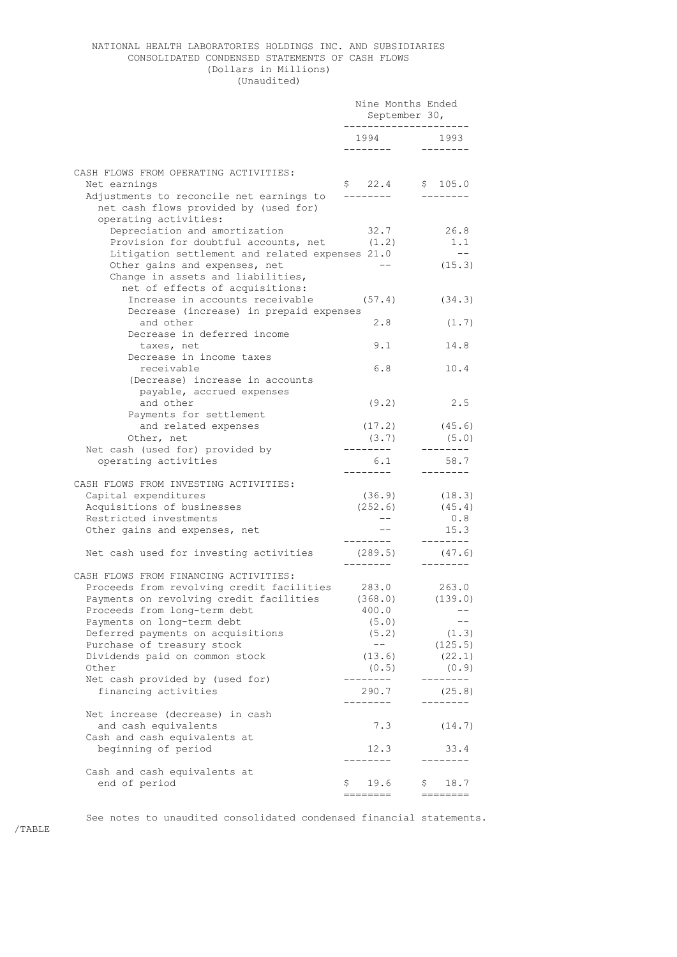### NATIONAL HEALTH LABORATORIES HOLDINGS INC. AND SUBSIDIARIES CONSOLIDATED CONDENSED STATEMENTS OF CASH FLOWS (Dollars in Millions) (Unaudited)

|                                                       | Nine Months Ended<br>September 30, |                              |
|-------------------------------------------------------|------------------------------------|------------------------------|
|                                                       | 1994 1993<br>--------              | $- - - - - - - -$            |
| CASH FLOWS FROM OPERATING ACTIVITIES:                 |                                    |                              |
| Net earnings                                          | $$22.4$ $$105.0$                   |                              |
| Adjustments to reconcile net earnings to              | --------                           | $- - - - - - - -$            |
| net cash flows provided by (used for)                 |                                    |                              |
| operating activities:                                 |                                    |                              |
| Depreciation and amortization                         | 32.7                               | 26.8                         |
| Provision for doubtful accounts, net (1.2)            |                                    | 1.1                          |
| Litigation settlement and related expenses 21.0       |                                    | $- - -$                      |
| Other gains and expenses, net                         |                                    | (15.3)                       |
| Change in assets and liabilities,                     |                                    |                              |
| net of effects of acquisitions:                       |                                    |                              |
| Increase in accounts receivable                       |                                    | $(57.4)$ $(34.3)$            |
| Decrease (increase) in prepaid expenses               |                                    |                              |
| and other                                             | 2.8                                | (1.7)                        |
| Decrease in deferred income                           |                                    |                              |
| taxes, net                                            | 9.1                                | 14.8                         |
| Decrease in income taxes                              |                                    |                              |
| receivable                                            | 6.8                                | 10.4                         |
| (Decrease) increase in accounts                       |                                    |                              |
| payable, accrued expenses                             |                                    |                              |
| and other                                             | (9.2)                              | 2.5                          |
| Payments for settlement                               |                                    |                              |
| and related expenses                                  |                                    | $(17.2)$ $(45.6)$            |
| Other, net                                            | (3.7)                              | (5.0)                        |
| Net cash (used for) provided by                       | ---------                          | ---------                    |
| operating activities                                  | 6.1<br>--------                    | 58.7                         |
|                                                       |                                    | --------                     |
| CASH FLOWS FROM INVESTING ACTIVITIES:                 |                                    |                              |
| Capital expenditures<br>Acquisitions of businesses    | (36.9)                             | (18.3)<br>$(252.6)$ $(45.4)$ |
| Restricted investments                                | $---$                              | 0.8                          |
| Other gains and expenses, net                         |                                    | 15.3                         |
|                                                       | ---------                          | ---------                    |
| Net cash used for investing activities                | $(289.5)$ $(47.6)$                 |                              |
|                                                       |                                    |                              |
| CASH FLOWS FROM FINANCING ACTIVITIES:                 |                                    |                              |
| Proceeds from revolving credit facilities 283.0 263.0 |                                    |                              |
| Payments on revolving credit facilities               | (368.0)                            | (139.0)                      |
| Proceeds from long-term debt                          | 400.0                              |                              |
| Payments on long-term debt                            | (5.0)                              |                              |
| Deferred payments on acquisitions                     | (5.2)                              | (1.3)                        |
| Purchase of treasury stock                            | $---$                              | (125.5)                      |
| Dividends paid on common stock                        | (13.6)                             | (22.1)                       |
| Other                                                 | (0.5)                              | (0.9)                        |
| Net cash provided by (used for)                       |                                    |                              |
| financing activities                                  | 290.7                              | (25.8)                       |
|                                                       |                                    |                              |
| Net increase (decrease) in cash                       |                                    |                              |
| and cash equivalents                                  | 7.3                                | (14.7)                       |
| Cash and cash equivalents at                          |                                    |                              |
| beginning of period                                   | 12.3                               | 33.4                         |
|                                                       |                                    |                              |
| Cash and cash equivalents at                          |                                    |                              |
| end of period                                         | \$<br>19.6                         | \$<br>18.7                   |
|                                                       |                                    |                              |

See notes to unaudited consolidated condensed financial statements.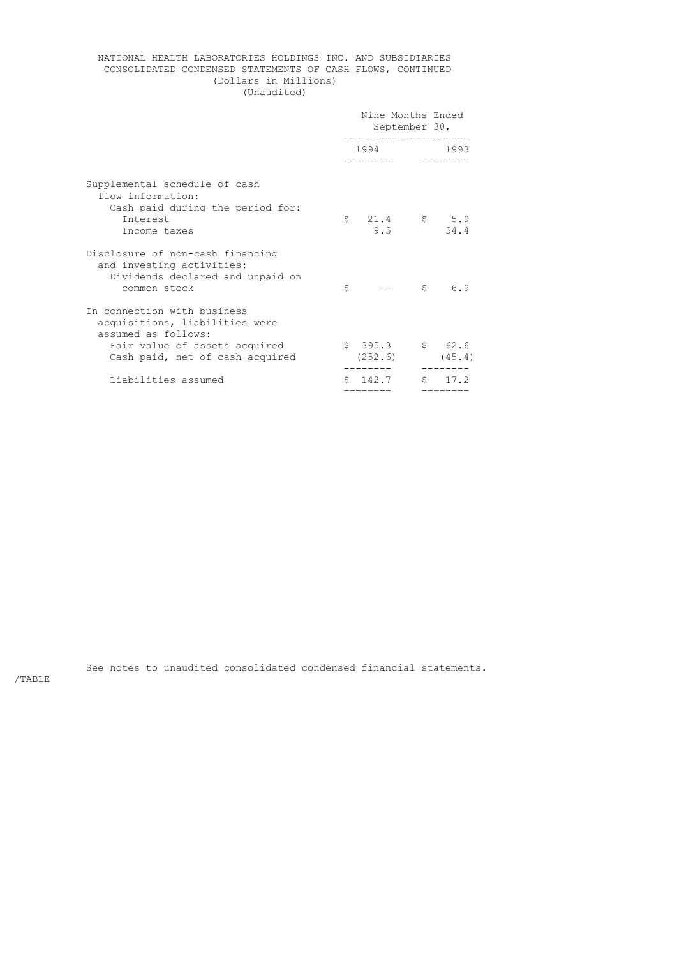# NATIONAL HEALTH LABORATORIES HOLDINGS INC. AND SUBSIDIARIES CONSOLIDATED CONDENSED STATEMENTS OF CASH FLOWS, CONTINUED (Dollars in Millions) (Unaudited)

|                                                                                                                                                          |                       | Nine Months Ended<br>September 30,<br>. _ _ _ _ _ _ _ _ _ _ _ |
|----------------------------------------------------------------------------------------------------------------------------------------------------------|-----------------------|---------------------------------------------------------------|
|                                                                                                                                                          | 1994                  | 1993                                                          |
| Supplemental schedule of cash<br>flow information:<br>Cash paid during the period for:<br>Interest<br>Income taxes                                       | $\mathsf{S}^-$<br>9.5 | $21.4$ \$ 5.9<br>54.4                                         |
| Disclosure of non-cash financing<br>and investing activities:<br>Dividends declared and unpaid on<br>common stock                                        | Ŝ                     | Ŝ<br>6.9                                                      |
| In connection with business<br>acquisitions, liabilities were<br>assumed as follows:<br>Fair value of assets acquired<br>Cash paid, net of cash acquired | \$395.3<br>(252.6)    | \$62.6<br>(45.4)                                              |
| Liabilities assumed                                                                                                                                      | 142.7<br>========     | 172<br>Ŝ.<br>=======                                          |
|                                                                                                                                                          |                       |                                                               |

See notes to unaudited consolidated condensed financial statements.

/TABLE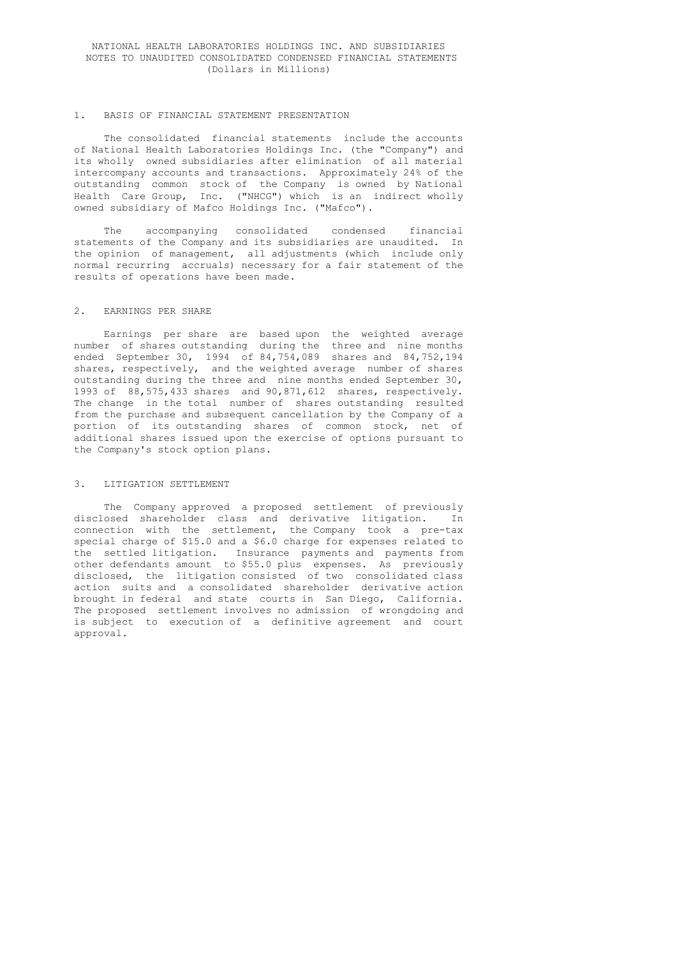### NATIONAL HEALTH LABORATORIES HOLDINGS INC. AND SUBSIDIARIES NOTES TO UNAUDITED CONSOLIDATED CONDENSED FINANCIAL STATEMENTS (Dollars in Millions)

#### 1. BASIS OF FINANCIAL STATEMENT PRESENTATION

 The consolidated financial statements include the accounts of National Health Laboratories Holdings Inc. (the "Company") and its wholly owned subsidiaries after elimination of all material intercompany accounts and transactions. Approximately 24% of the outstanding common stock of the Company is owned by National Health Care Group, Inc. ("NHCG") which is an indirect wholly owned subsidiary of Mafco Holdings Inc. ("Mafco").

> The accompanying consolidated condensed financial statements of the Company and its subsidiaries are unaudited. In the opinion of management, all adjustments (which include only normal recurring accruals) necessary for a fair statement of the results of operations have been made.

### 2. EARNINGS PER SHARE

 Earnings per share are based upon the weighted average number of shares outstanding during the three and nine months ended September 30, 1994 of 84,754,089 shares and 84,752,194 shares, respectively, and the weighted average number of shares outstanding during the three and nine months ended September 30, 1993 of 88,575,433 shares and 90,871,612 shares, respectively. The change in the total number of shares outstanding resulted from the purchase and subsequent cancellation by the Company of a portion of its outstanding shares of common stock, net of additional shares issued upon the exercise of options pursuant to the Company's stock option plans.

#### 3. LITIGATION SETTLEMENT

 The Company approved a proposed settlement of previously disclosed shareholder class and derivative litigation. In connection with the settlement, the Company took a pre-tax special charge of \$15.0 and a \$6.0 charge for expenses related to the settled litigation. Insurance payments and payments from other defendants amount to \$55.0 plus expenses. As previously disclosed, the litigation consisted of two consolidated class action suits and a consolidated shareholder derivative action brought in federal and state courts in San Diego, California. The proposed settlement involves no admission of wrongdoing and is subject to execution of a definitive agreement and court approval.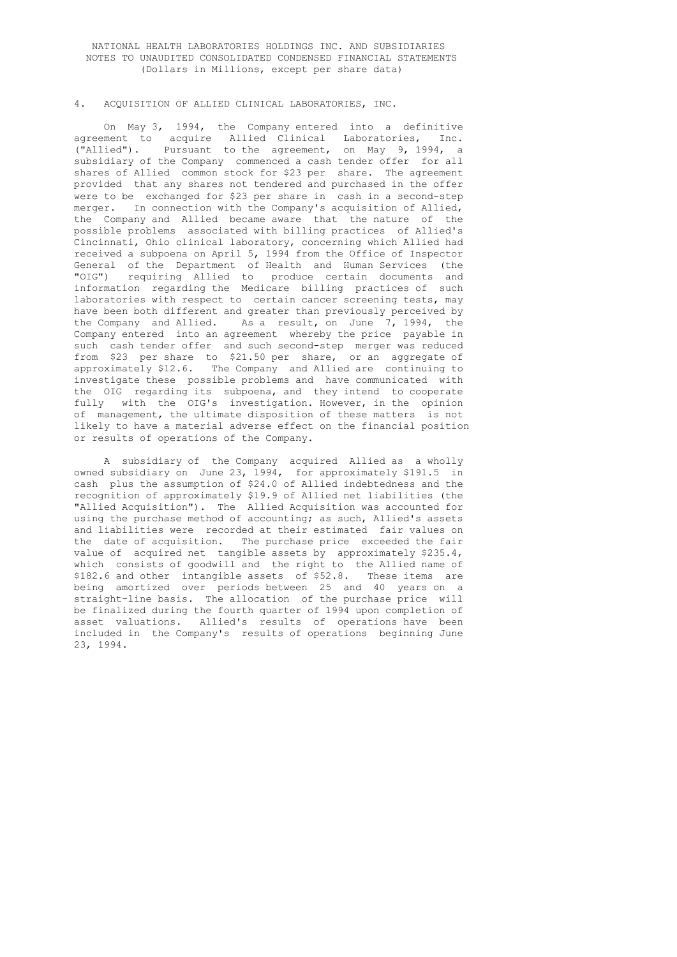# NATIONAL HEALTH LABORATORIES HOLDINGS INC. AND SUBSIDIARIES NOTES TO UNAUDITED CONSOLIDATED CONDENSED FINANCIAL STATEMENTS (Dollars in Millions, except per share data)

### 4. ACQUISITION OF ALLIED CLINICAL LABORATORIES, INC.

 On May 3, 1994, the Company entered into a definitive agreement to acquire Allied Clinical Laboratories, Inc.<br>("Allied"). Pursuant to the agreement, on May 9, 1994, a Pursuant to the agreement, on May 9, 1994, a subsidiary of the Company commenced a cash tender offer for all shares of Allied common stock for \$23 per share. The agreement provided that any shares not tendered and purchased in the offer were to be exchanged for \$23 per share in cash in a second-step merger. In connection with the Company's acquisition of Allied, the Company and Allied became aware that the nature of the possible problems associated with billing practices of Allied's Cincinnati, Ohio clinical laboratory, concerning which Allied had received a subpoena on April 5, 1994 from the Office of Inspector General of the Department of Health and Human Services (the "OIG") requiring Allied to produce certain documents and information regarding the Medicare billing practices of such laboratories with respect to certain cancer screening tests, may have been both different and greater than previously perceived by the Company and Allied. As a result, on June 7, 1994, the Company entered into an agreement whereby the price payable in such cash tender offer and such second-step merger was reduced from \$23 per share to \$21.50 per share, or an aggregate of approximately \$12.6. The Company and Allied are continuing to investigate these possible problems and have communicated with the OIG regarding its subpoena, and they intend to cooperate fully with the OIG's investigation. However, in the opinion of management, the ultimate disposition of these matters is not likely to have a material adverse effect on the financial position or results of operations of the Company.

 A subsidiary of the Company acquired Allied as a wholly owned subsidiary on June 23, 1994, for approximately \$191.5 in cash plus the assumption of \$24.0 of Allied indebtedness and the recognition of approximately \$19.9 of Allied net liabilities (the "Allied Acquisition"). The Allied Acquisition was accounted for using the purchase method of accounting; as such, Allied's assets and liabilities were recorded at their estimated fair values on the date of acquisition. The purchase price exceeded the fair value of acquired net tangible assets by approximately \$235.4, which consists of goodwill and the right to the Allied name of \$182.6 and other intangible assets of \$52.8. These items are being amortized over periods between 25 and 40 years on a straight-line basis. The allocation of the purchase price will be finalized during the fourth quarter of 1994 upon completion of asset valuations. Allied's results of operations have been included in the Company's results of operations beginning June 23, 1994.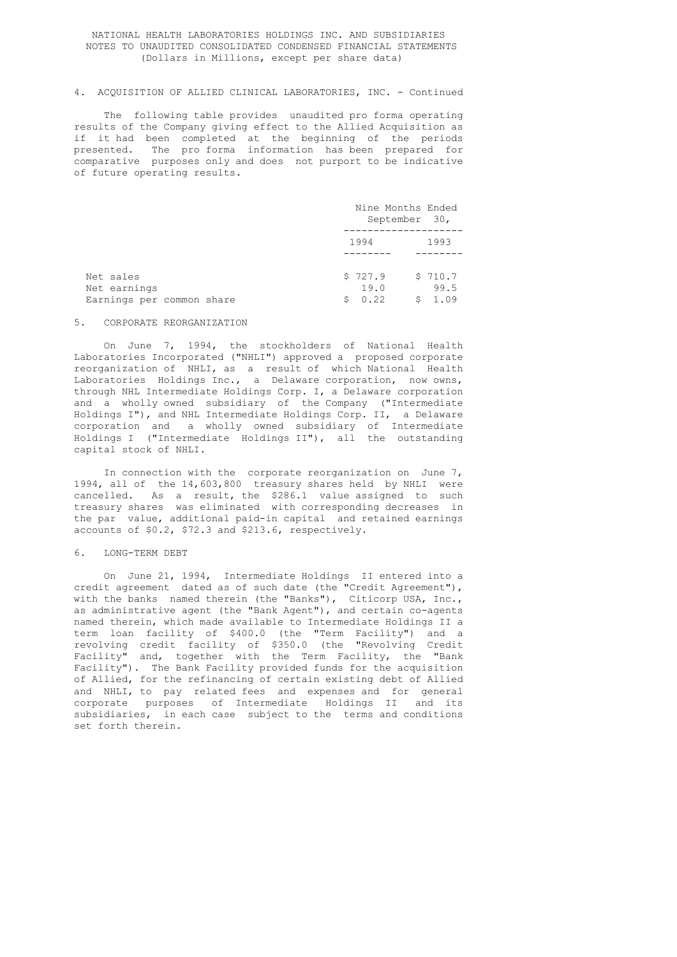### NATIONAL HEALTH LABORATORIES HOLDINGS INC. AND SUBSIDIARIES NOTES TO UNAUDITED CONSOLIDATED CONDENSED FINANCIAL STATEMENTS (Dollars in Millions, except per share data)

# 4. ACQUISITION OF ALLIED CLINICAL LABORATORIES, INC. - Continued

 The following table provides unaudited pro forma operating results of the Company giving effect to the Allied Acquisition as if it had been completed at the beginning of the periods presented. The pro forma information has been prepared for comparative purposes only and does not purport to be indicative of future operating results.

|                                                        | Nine Months Ended<br>September 30, |                           |
|--------------------------------------------------------|------------------------------------|---------------------------|
|                                                        | 1994                               | 1993                      |
| Net sales<br>Net earnings<br>Earnings per common share | \$727.9<br>19.0<br>0.22<br>S.      | \$710.7<br>99.5<br>\$1.09 |

#### 5. CORPORATE REORGANIZATION

 On June 7, 1994, the stockholders of National Health Laboratories Incorporated ("NHLI") approved a proposed corporate reorganization of NHLI, as a result of which National Health Laboratories Holdings Inc., a Delaware corporation, now owns, through NHL Intermediate Holdings Corp. I, a Delaware corporation and a wholly owned subsidiary of the Company ("Intermediate Holdings I"), and NHL Intermediate Holdings Corp. II, a Delaware corporation and a wholly owned subsidiary of Intermediate Holdings I ("Intermediate Holdings II"), all the outstanding capital stock of NHLI.

 In connection with the corporate reorganization on June 7, 1994, all of the 14,603,800 treasury shares held by NHLI were cancelled. As a result, the \$286.1 value assigned to such treasury shares was eliminated with corresponding decreases in the par value, additional paid-in capital and retained earnings accounts of \$0.2, \$72.3 and \$213.6, respectively.

### 6. LONG-TERM DEBT

 On June 21, 1994, Intermediate Holdings II entered into a credit agreement dated as of such date (the "Credit Agreement"), with the banks named therein (the "Banks"), Citicorp USA, Inc., as administrative agent (the "Bank Agent"), and certain co-agents named therein, which made available to Intermediate Holdings II a term loan facility of \$400.0 (the "Term Facility") and a revolving credit facility of \$350.0 (the "Revolving Credit Facility" and, together with the Term Facility, the "Bank Facility"). The Bank Facility provided funds for the acquisition of Allied, for the refinancing of certain existing debt of Allied and NHLI, to pay related fees and expenses and for general corporate purposes of Intermediate Holdings II and its subsidiaries, in each case subject to the terms and conditions set forth therein.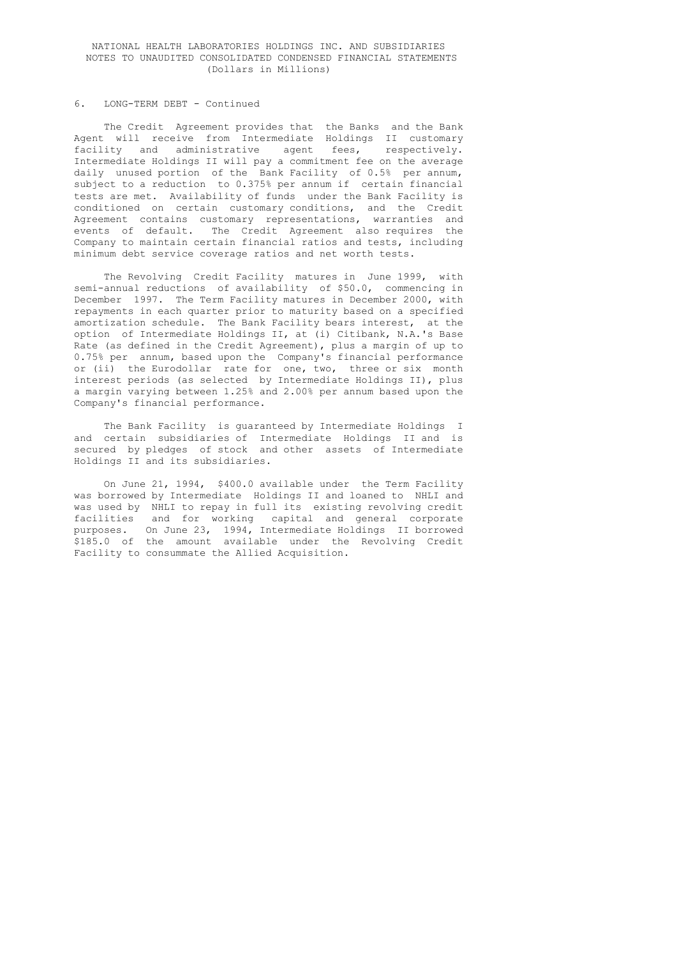## NATIONAL HEALTH LABORATORIES HOLDINGS INC. AND SUBSIDIARIES NOTES TO UNAUDITED CONSOLIDATED CONDENSED FINANCIAL STATEMENTS (Dollars in Millions)

## 6. LONG-TERM DEBT - Continued

 The Credit Agreement provides that the Banks and the Bank Agent will receive from Intermediate Holdings II customary facility and administrative agent fees, respectively. Intermediate Holdings II will pay a commitment fee on the average daily unused portion of the Bank Facility of 0.5% per annum, subject to a reduction to 0.375% per annum if certain financial tests are met. Availability of funds under the Bank Facility is conditioned on certain customary conditions, and the Credit Agreement contains customary representations, warranties and events of default. The Credit Agreement also requires the Company to maintain certain financial ratios and tests, including minimum debt service coverage ratios and net worth tests.

 The Revolving Credit Facility matures in June 1999, with semi-annual reductions of availability of \$50.0, commencing in December 1997. The Term Facility matures in December 2000, with repayments in each quarter prior to maturity based on a specified amortization schedule. The Bank Facility bears interest, at the option of Intermediate Holdings II, at (i) Citibank, N.A.'s Base Rate (as defined in the Credit Agreement), plus a margin of up to 0.75% per annum, based upon the Company's financial performance or (ii) the Eurodollar rate for one, two, three or six month interest periods (as selected by Intermediate Holdings II), plus a margin varying between 1.25% and 2.00% per annum based upon the Company's financial performance.

 The Bank Facility is guaranteed by Intermediate Holdings I and certain subsidiaries of Intermediate Holdings II and is secured by pledges of stock and other assets of Intermediate Holdings II and its subsidiaries.

 On June 21, 1994, \$400.0 available under the Term Facility was borrowed by Intermediate Holdings II and loaned to NHLI and was used by NHLI to repay in full its existing revolving credit facilities and for working capital and general corporate purposes. On June 23, 1994, Intermediate Holdings II borrowed \$185.0 of the amount available under the Revolving Credit Facility to consummate the Allied Acquisition.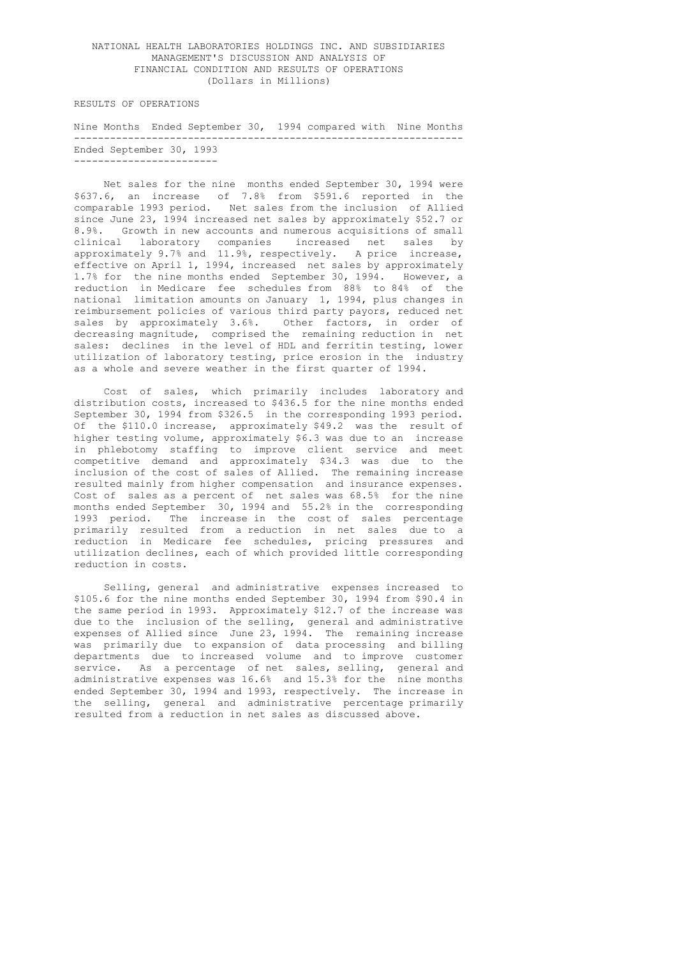RESULTS OF OPERATIONS

 Nine Months Ended September 30, 1994 compared with Nine Months ----------------------------------------------------------------- Ended September 30, 1993 ------------------------

 Net sales for the nine months ended September 30, 1994 were \$637.6, an increase of 7.8% from \$591.6 reported in the comparable 1993 period. Net sales from the inclusion of Allied since June 23, 1994 increased net sales by approximately \$52.7 or 8.9%. Growth in new accounts and numerous acquisitions of small clinical laboratory companies increased net sales by approximately 9.7% and 11.9%, respectively. A price increase, effective on April 1, 1994, increased net sales by approximately 1.7% for the nine months ended September 30, 1994. However, a reduction in Medicare fee schedules from 88% to 84% of the national limitation amounts on January 1, 1994, plus changes in reimbursement policies of various third party payors, reduced net sales by approximately 3.6%. Other factors, in order of decreasing magnitude, comprised the remaining reduction in net sales: declines in the level of HDL and ferritin testing, lower utilization of laboratory testing, price erosion in the industry as a whole and severe weather in the first quarter of 1994.

 Cost of sales, which primarily includes laboratory and distribution costs, increased to \$436.5 for the nine months ended September 30, 1994 from \$326.5 in the corresponding 1993 period. Of the \$110.0 increase, approximately \$49.2 was the result of higher testing volume, approximately \$6.3 was due to an increase in phlebotomy staffing to improve client service and meet competitive demand and approximately \$34.3 was due to the inclusion of the cost of sales of Allied. The remaining increase resulted mainly from higher compensation and insurance expenses. Cost of sales as a percent of net sales was 68.5% for the nine months ended September 30, 1994 and 55.2% in the corresponding 1993 period. The increase in the cost of sales percentage primarily resulted from a reduction in net sales due to a reduction in Medicare fee schedules, pricing pressures and utilization declines, each of which provided little corresponding reduction in costs.

 Selling, general and administrative expenses increased to \$105.6 for the nine months ended September 30, 1994 from \$90.4 in the same period in 1993. Approximately \$12.7 of the increase was due to the inclusion of the selling, general and administrative expenses of Allied since June 23, 1994. The remaining increase was primarily due to expansion of data processing and billing departments due to increased volume and to improve customer service. As a percentage of net sales, selling, general and administrative expenses was 16.6% and 15.3% for the nine months ended September 30, 1994 and 1993, respectively. The increase in the selling, general and administrative percentage primarily resulted from a reduction in net sales as discussed above.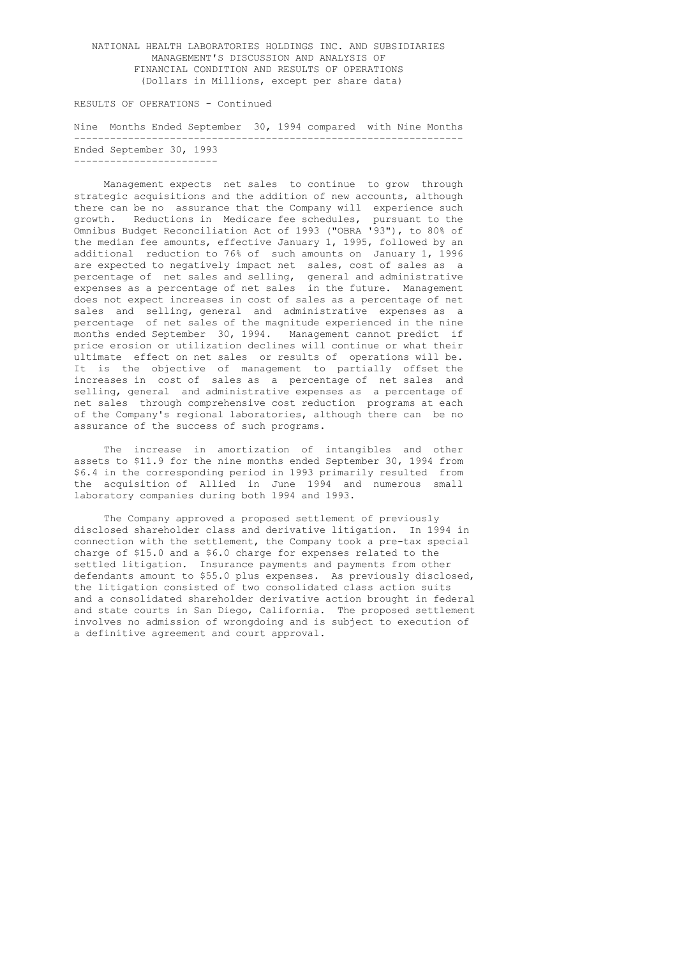RESULTS OF OPERATIONS - Continued

 Nine Months Ended September 30, 1994 compared with Nine Months ----------------------------------------------------------------- Ended September 30, 1993 ------------------------

 Management expects net sales to continue to grow through strategic acquisitions and the addition of new accounts, although there can be no assurance that the Company will experience such growth. Reductions in Medicare fee schedules, pursuant to the Omnibus Budget Reconciliation Act of 1993 ("OBRA '93"), to 80% of the median fee amounts, effective January 1, 1995, followed by an additional reduction to 76% of such amounts on January 1, 1996 are expected to negatively impact net sales, cost of sales as a percentage of net sales and selling, general and administrative expenses as a percentage of net sales in the future. Management does not expect increases in cost of sales as a percentage of net sales and selling, general and administrative expenses as a percentage of net sales of the magnitude experienced in the nine months ended September 30, 1994. Management cannot predict if price erosion or utilization declines will continue or what their ultimate effect on net sales or results of operations will be. It is the objective of management to partially offset the increases in cost of sales as a percentage of net sales and selling, general and administrative expenses as a percentage of net sales through comprehensive cost reduction programs at each of the Company's regional laboratories, although there can be no assurance of the success of such programs.

 The increase in amortization of intangibles and other assets to \$11.9 for the nine months ended September 30, 1994 from \$6.4 in the corresponding period in 1993 primarily resulted from the acquisition of Allied in June 1994 and numerous small laboratory companies during both 1994 and 1993.

 The Company approved a proposed settlement of previously disclosed shareholder class and derivative litigation. In 1994 in connection with the settlement, the Company took a pre-tax special charge of \$15.0 and a \$6.0 charge for expenses related to the settled litigation. Insurance payments and payments from other defendants amount to \$55.0 plus expenses. As previously disclosed, the litigation consisted of two consolidated class action suits and a consolidated shareholder derivative action brought in federal and state courts in San Diego, California. The proposed settlement involves no admission of wrongdoing and is subject to execution of a definitive agreement and court approval.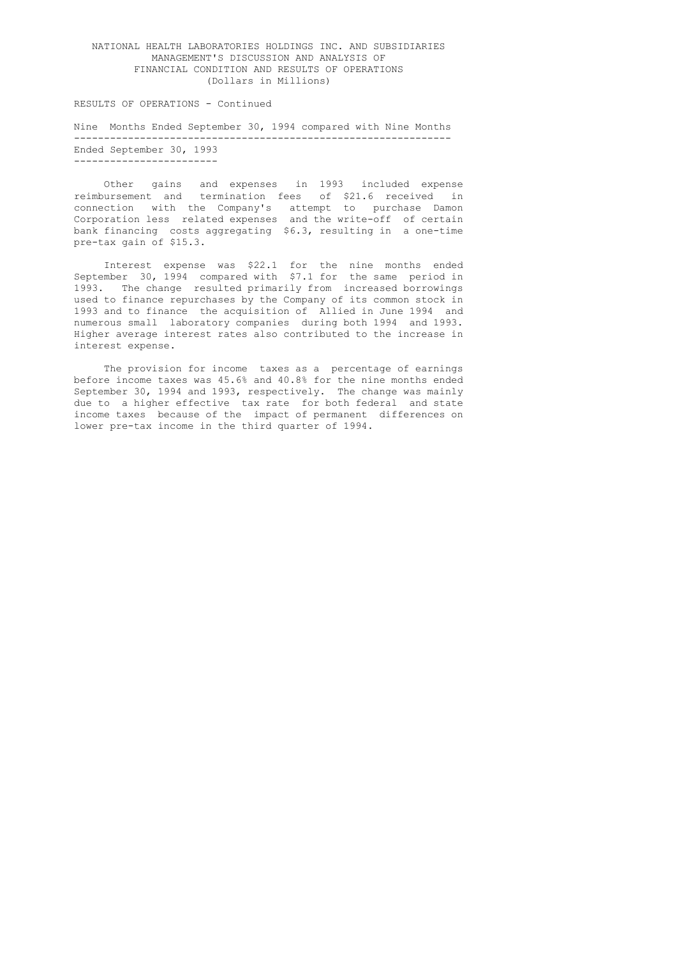RESULTS OF OPERATIONS - Continued

 Nine Months Ended September 30, 1994 compared with Nine Months --------------------------------------------------------------- Ended September 30, 1993 ------------------------

 Other gains and expenses in 1993 included expense reimbursement and termination fees of \$21.6 received in connection with the Company's attempt to purchase Damon Corporation less related expenses and the write-off of certain bank financing costs aggregating \$6.3, resulting in a one-time pre-tax gain of \$15.3.

> Interest expense was \$22.1 for the nine months ended September 30, 1994 compared with \$7.1 for the same period in 1993. The change resulted primarily from increased borrowings used to finance repurchases by the Company of its common stock in 1993 and to finance the acquisition of Allied in June 1994 and numerous small laboratory companies during both 1994 and 1993. Higher average interest rates also contributed to the increase in interest expense.

> The provision for income taxes as a percentage of earnings before income taxes was 45.6% and 40.8% for the nine months ended September 30, 1994 and 1993, respectively. The change was mainly due to a higher effective tax rate for both federal and state income taxes because of the impact of permanent differences on lower pre-tax income in the third quarter of 1994.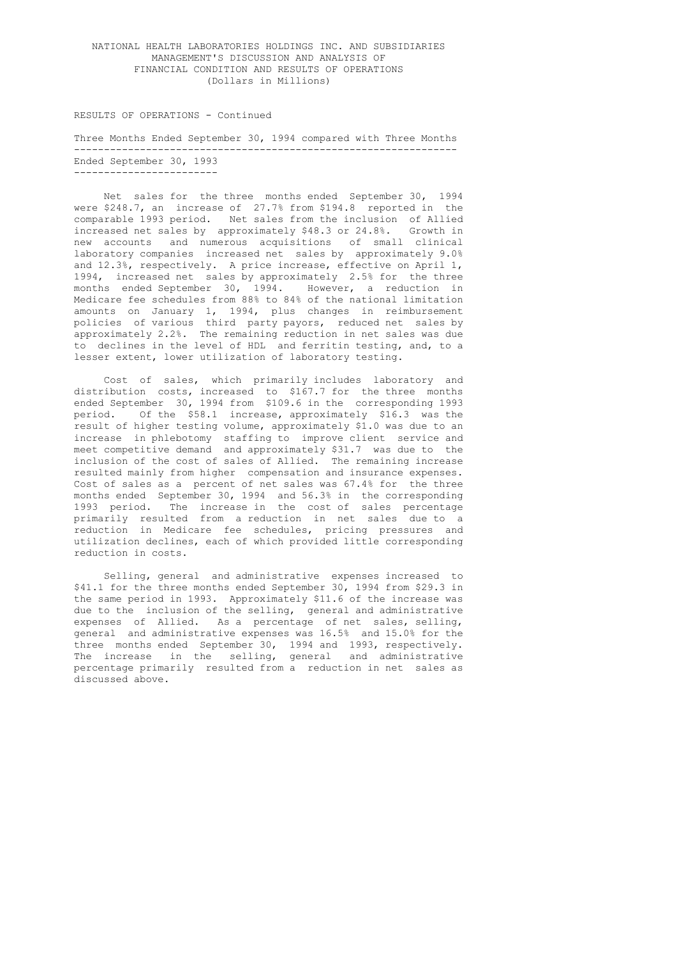#### RESULTS OF OPERATIONS - Continued

 Three Months Ended September 30, 1994 compared with Three Months ---------------------------------------------------------------- Ended September 30, 1993 ------------------------

> Net sales for the three months ended September 30, 1994 were \$248.7, an increase of 27.7% from \$194.8 reported in the comparable 1993 period. Net sales from the inclusion of Allied increased net sales by approximately \$48.3 or 24.8%. Growth in new accounts and numerous acquisitions of small clinical laboratory companies increased net sales by approximately 9.0% and 12.3%, respectively. A price increase, effective on April 1, 1994, increased net sales by approximately 2.5% for the three months ended September 30, 1994. However, a reduction in Medicare fee schedules from 88% to 84% of the national limitation amounts on January 1, 1994, plus changes in reimbursement policies of various third party payors, reduced net sales by approximately 2.2%. The remaining reduction in net sales was due to declines in the level of HDL and ferritin testing, and, to a lesser extent, lower utilization of laboratory testing.

 Cost of sales, which primarily includes laboratory and distribution costs, increased to \$167.7 for the three months ended September 30, 1994 from \$109.6 in the corresponding 1993 period. Of the \$58.1 increase, approximately \$16.3 was the result of higher testing volume, approximately \$1.0 was due to an increase in phlebotomy staffing to improve client service and meet competitive demand and approximately \$31.7 was due to the inclusion of the cost of sales of Allied. The remaining increase resulted mainly from higher compensation and insurance expenses. Cost of sales as a percent of net sales was 67.4% for the three months ended September 30, 1994 and 56.3% in the corresponding 1993 period. The increase in the cost of sales percentage primarily resulted from a reduction in net sales due to a reduction in Medicare fee schedules, pricing pressures and utilization declines, each of which provided little corresponding reduction in costs.

 Selling, general and administrative expenses increased to \$41.1 for the three months ended September 30, 1994 from \$29.3 in the same period in 1993. Approximately \$11.6 of the increase was due to the inclusion of the selling, general and administrative expenses of Allied. As a percentage of net sales, selling, general and administrative expenses was 16.5% and 15.0% for the three months ended September 30, 1994 and 1993, respectively. The increase in the selling, general and administrative percentage primarily resulted from a reduction in net sales as discussed above.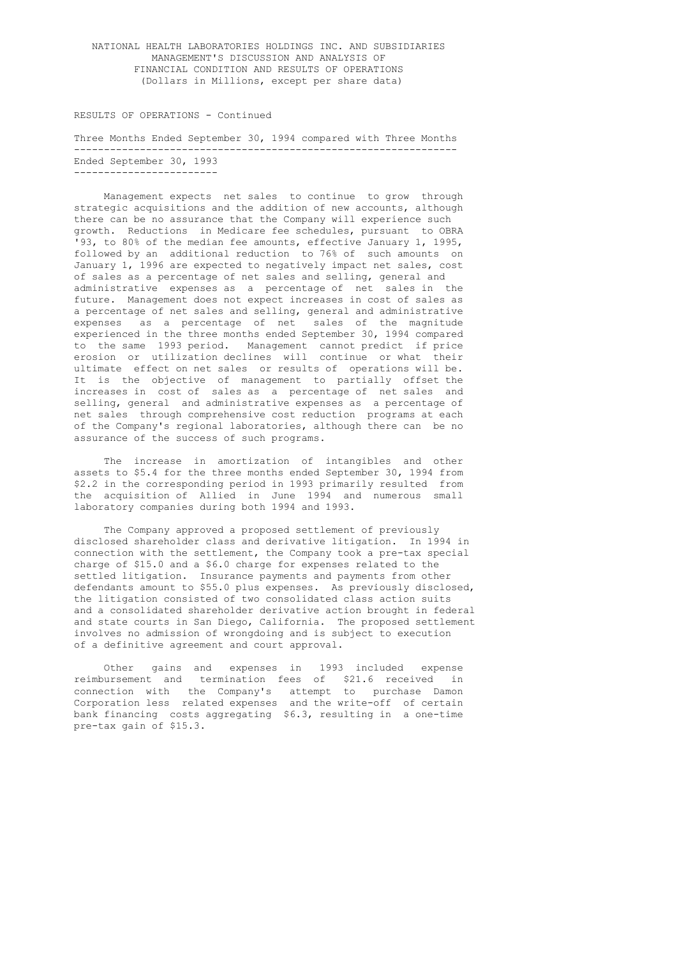#### RESULTS OF OPERATIONS - Continued

 Three Months Ended September 30, 1994 compared with Three Months ---------------------------------------------------------------- Ended September 30, 1993 ------------------------

> Management expects net sales to continue to grow through strategic acquisitions and the addition of new accounts, although there can be no assurance that the Company will experience such growth. Reductions in Medicare fee schedules, pursuant to OBRA '93, to 80% of the median fee amounts, effective January 1, 1995, followed by an additional reduction to 76% of such amounts on January 1, 1996 are expected to negatively impact net sales, cost of sales as a percentage of net sales and selling, general and administrative expenses as a percentage of net sales in the future. Management does not expect increases in cost of sales as a percentage of net sales and selling, general and administrative expenses as a percentage of net sales of the magnitude experienced in the three months ended September 30, 1994 compared to the same 1993 period. Management cannot predict if price erosion or utilization declines will continue or what their ultimate effect on net sales or results of operations will be. It is the objective of management to partially offset the increases in cost of sales as a percentage of net sales and selling, general and administrative expenses as a percentage of net sales through comprehensive cost reduction programs at each of the Company's regional laboratories, although there can be no assurance of the success of such programs.

> The increase in amortization of intangibles and other assets to \$5.4 for the three months ended September 30, 1994 from \$2.2 in the corresponding period in 1993 primarily resulted from the acquisition of Allied in June 1994 and numerous small laboratory companies during both 1994 and 1993.

 The Company approved a proposed settlement of previously disclosed shareholder class and derivative litigation. In 1994 in connection with the settlement, the Company took a pre-tax special charge of \$15.0 and a \$6.0 charge for expenses related to the settled litigation. Insurance payments and payments from other defendants amount to \$55.0 plus expenses. As previously disclosed, the litigation consisted of two consolidated class action suits and a consolidated shareholder derivative action brought in federal and state courts in San Diego, California. The proposed settlement involves no admission of wrongdoing and is subject to execution of a definitive agreement and court approval.

 Other gains and expenses in 1993 included expense reimbursement and termination fees of \$21.6 received in connection with the Company's attempt to purchase Damon Corporation less related expenses and the write-off of certain bank financing costs aggregating \$6.3, resulting in a one-time pre-tax gain of \$15.3.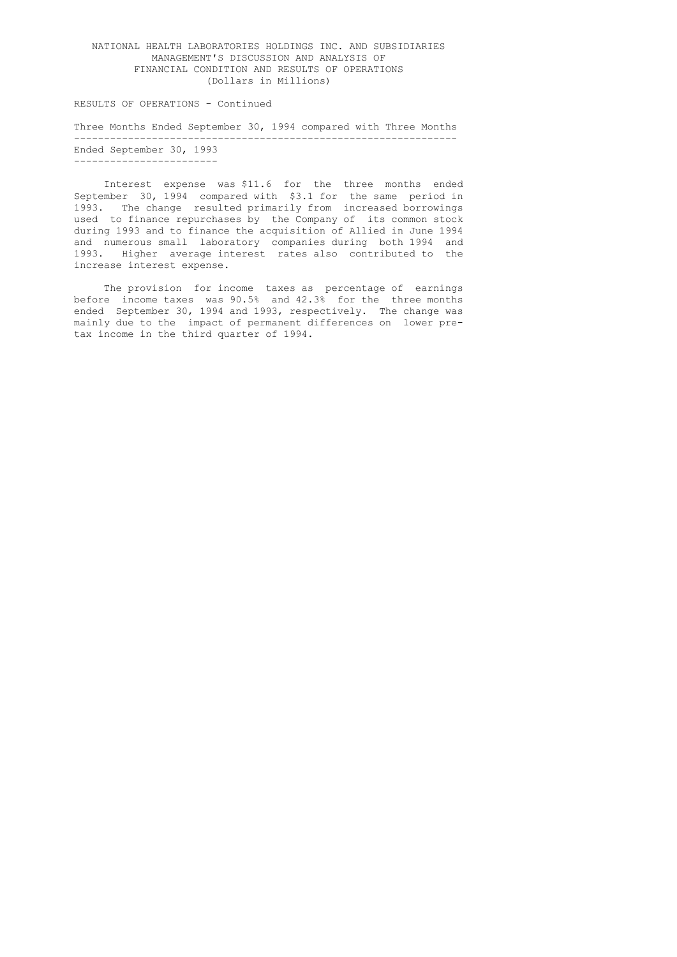RESULTS OF OPERATIONS - Continued

 Three Months Ended September 30, 1994 compared with Three Months ---------------------------------------------------------------- Ended September 30, 1993 ------------------------

 Interest expense was \$11.6 for the three months ended September 30, 1994 compared with \$3.1 for the same period in 1993. The change resulted primarily from increased borrowings used to finance repurchases by the Company of its common stock during 1993 and to finance the acquisition of Allied in June 1994 and numerous small laboratory companies during both 1994 and 1993. Higher average interest rates also contributed to the increase interest expense.

> The provision for income taxes as percentage of earnings before income taxes was 90.5% and 42.3% for the three months ended September 30, 1994 and 1993, respectively. The change was mainly due to the impact of permanent differences on lower pre tax income in the third quarter of 1994.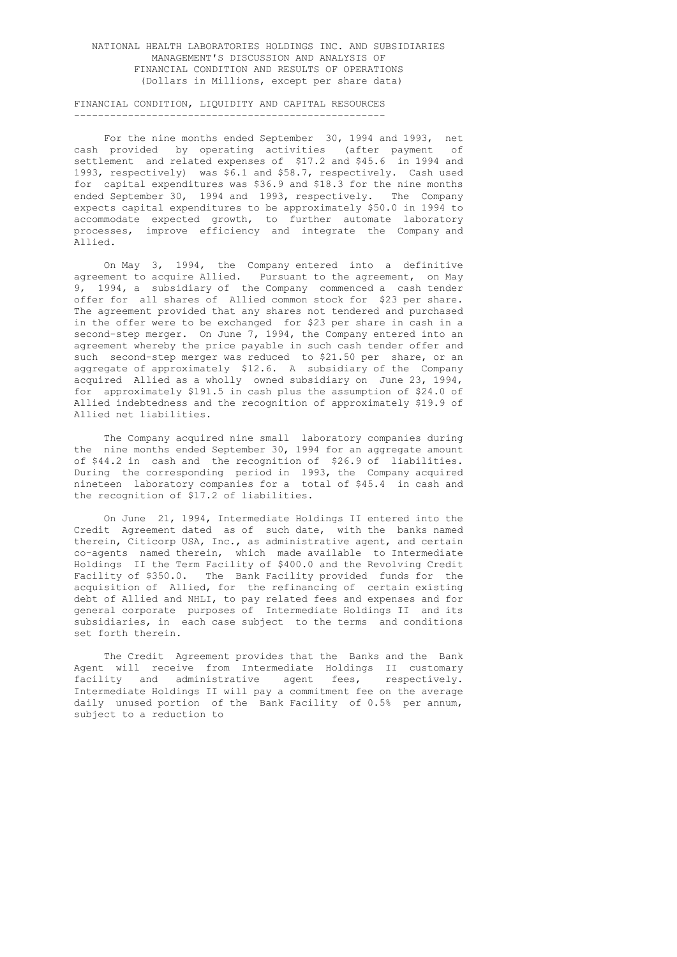### FINANCIAL CONDITION, LIQUIDITY AND CAPITAL RESOURCES ----------------------------------------------------

 For the nine months ended September 30, 1994 and 1993, net cash provided by operating activities (after payment of settlement and related expenses of \$17.2 and \$45.6 in 1994 and 1993, respectively) was \$6.1 and \$58.7, respectively. Cash used for capital expenditures was \$36.9 and \$18.3 for the nine months ended September 30, 1994 and 1993, respectively. The Company expects capital expenditures to be approximately \$50.0 in 1994 to accommodate expected growth, to further automate laboratory processes, improve efficiency and integrate the Company and Allied.

 On May 3, 1994, the Company entered into a definitive agreement to acquire Allied. Pursuant to the agreement, on May 9, 1994, a subsidiary of the Company commenced a cash tender offer for all shares of Allied common stock for \$23 per share. The agreement provided that any shares not tendered and purchased in the offer were to be exchanged for \$23 per share in cash in a second-step merger. On June 7, 1994, the Company entered into an agreement whereby the price payable in such cash tender offer and such second-step merger was reduced to \$21.50 per share, or an aggregate of approximately \$12.6. A subsidiary of the Company acquired Allied as a wholly owned subsidiary on June 23, 1994, for approximately \$191.5 in cash plus the assumption of \$24.0 of Allied indebtedness and the recognition of approximately \$19.9 of Allied net liabilities.

 The Company acquired nine small laboratory companies during the nine months ended September 30, 1994 for an aggregate amount of \$44.2 in cash and the recognition of \$26.9 of liabilities. During the corresponding period in 1993, the Company acquired nineteen laboratory companies for a total of \$45.4 in cash and the recognition of \$17.2 of liabilities.

> On June 21, 1994, Intermediate Holdings II entered into the Credit Agreement dated as of such date, with the banks named therein, Citicorp USA, Inc., as administrative agent, and certain co-agents named therein, which made available to Intermediate Holdings II the Term Facility of \$400.0 and the Revolving Credit Facility of \$350.0. The Bank Facility provided funds for the acquisition of Allied, for the refinancing of certain existing debt of Allied and NHLI, to pay related fees and expenses and for general corporate purposes of Intermediate Holdings II and its subsidiaries, in each case subject to the terms and conditions set forth therein.

> The Credit Agreement provides that the Banks and the Bank Agent will receive from Intermediate Holdings II customary facility and administrative agent fees, respectively. Intermediate Holdings II will pay a commitment fee on the average daily unused portion of the Bank Facility of 0.5% per annum, subject to a reduction to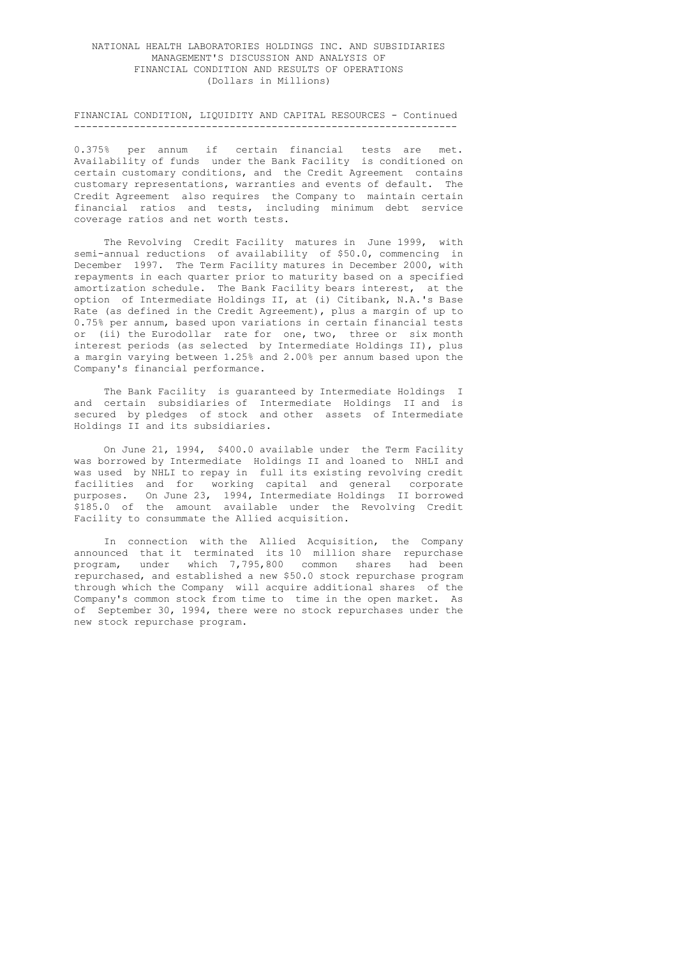#### FINANCIAL CONDITION, LIQUIDITY AND CAPITAL RESOURCES - Continued ----------------------------------------------------------------

 0.375% per annum if certain financial tests are met. Availability of funds under the Bank Facility is conditioned on certain customary conditions, and the Credit Agreement contains customary representations, warranties and events of default. The Credit Agreement also requires the Company to maintain certain financial ratios and tests, including minimum debt service coverage ratios and net worth tests.

The Revolving Credit Facility matures in June 1999, with semi-annual reductions of availability of \$50.0, commencing in December 1997. The Term Facility matures in December 2000, with repayments in each quarter prior to maturity based on a specified amortization schedule. The Bank Facility bears interest, at the option of Intermediate Holdings II, at (i) Citibank, N.A.'s Base Rate (as defined in the Credit Agreement), plus a margin of up to 0.75% per annum, based upon variations in certain financial tests or (ii) the Eurodollar rate for one, two, three or six month interest periods (as selected by Intermediate Holdings II), plus a margin varying between 1.25% and 2.00% per annum based upon the Company's financial performance.

 The Bank Facility is guaranteed by Intermediate Holdings I and certain subsidiaries of Intermediate Holdings II and is secured by pledges of stock and other assets of Intermediate Holdings II and its subsidiaries.

> On June 21, 1994, \$400.0 available under the Term Facility was borrowed by Intermediate Holdings II and loaned to NHLI and was used by NHLI to repay in full its existing revolving credit facilities and for working capital and general corporate purposes. On June 23, 1994, Intermediate Holdings II borrowed \$185.0 of the amount available under the Revolving Credit Facility to consummate the Allied acquisition.

> In connection with the Allied Acquisition, the Company announced that it terminated its 10 million share repurchase program, under which 7,795,800 common shares had been repurchased, and established a new \$50.0 stock repurchase program through which the Company will acquire additional shares of the Company's common stock from time to time in the open market. As of September 30, 1994, there were no stock repurchases under the new stock repurchase program.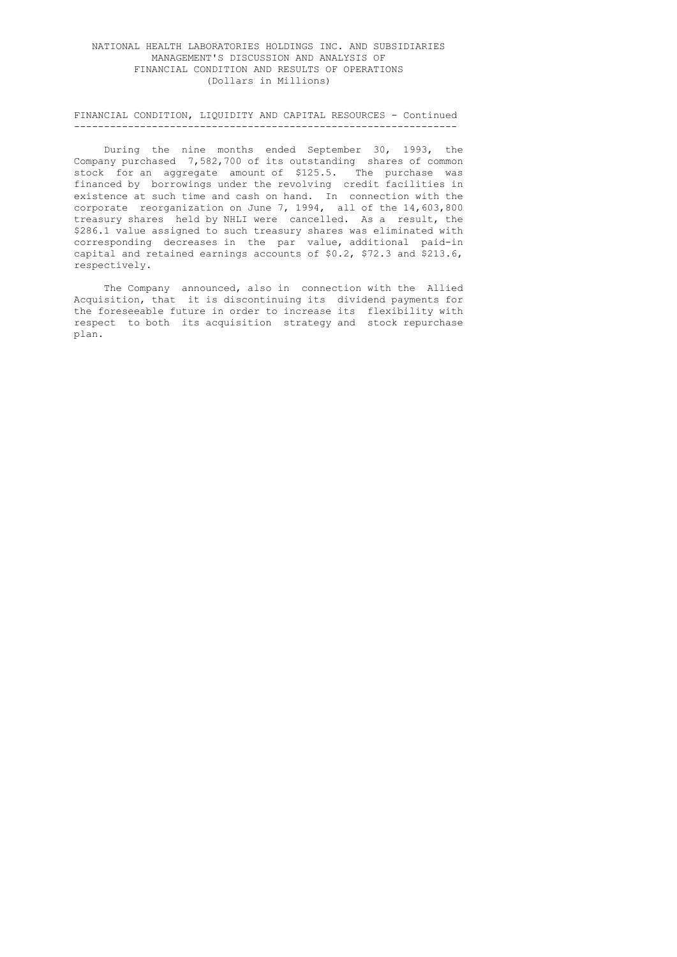#### FINANCIAL CONDITION, LIQUIDITY AND CAPITAL RESOURCES - Continued ----------------------------------------------------------------

 During the nine months ended September 30, 1993, the Company purchased 7,582,700 of its outstanding shares of common stock for an aggregate amount of \$125.5. The purchase was financed by borrowings under the revolving credit facilities in existence at such time and cash on hand. In connection with the corporate reorganization on June 7, 1994, all of the 14,603,800 treasury shares held by NHLI were cancelled. As a result, the \$286.1 value assigned to such treasury shares was eliminated with corresponding decreases in the par value, additional paid-in capital and retained earnings accounts of \$0.2, \$72.3 and \$213.6, respectively.

> The Company announced, also in connection with the Allied Acquisition, that it is discontinuing its dividend payments for the foreseeable future in order to increase its flexibility with respect to both its acquisition strategy and stock repurchase plan.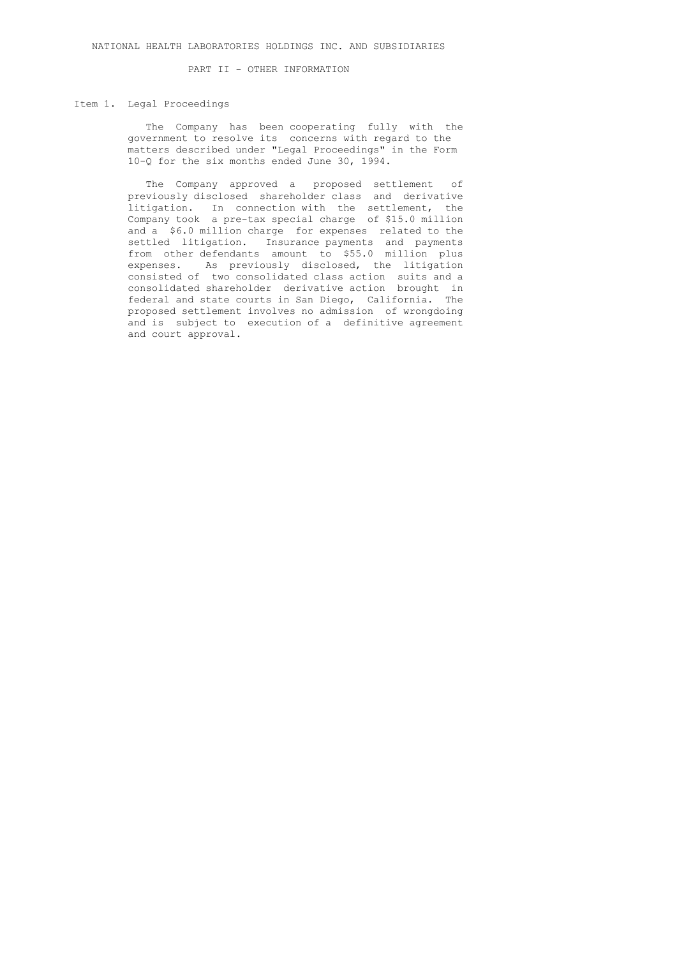PART II - OTHER INFORMATION

#### Item 1. Legal Proceedings

 The Company has been cooperating fully with the government to resolve its concerns with regard to the matters described under "Legal Proceedings" in the Form 10-Q for the six months ended June 30, 1994.

 The Company approved a proposed settlement of previously disclosed shareholder class and derivative litigation. In connection with the settlement, the Company took a pre-tax special charge of \$15.0 million and a \$6.0 million charge for expenses related to the settled litigation. Insurance payments and payments from other defendants amount to \$55.0 million plus expenses. As previously disclosed, the litigation consisted of two consolidated class action suits and a consolidated shareholder derivative action brought in federal and state courts in San Diego, California. The proposed settlement involves no admission of wrongdoing and is subject to execution of a definitive agreement and court approval.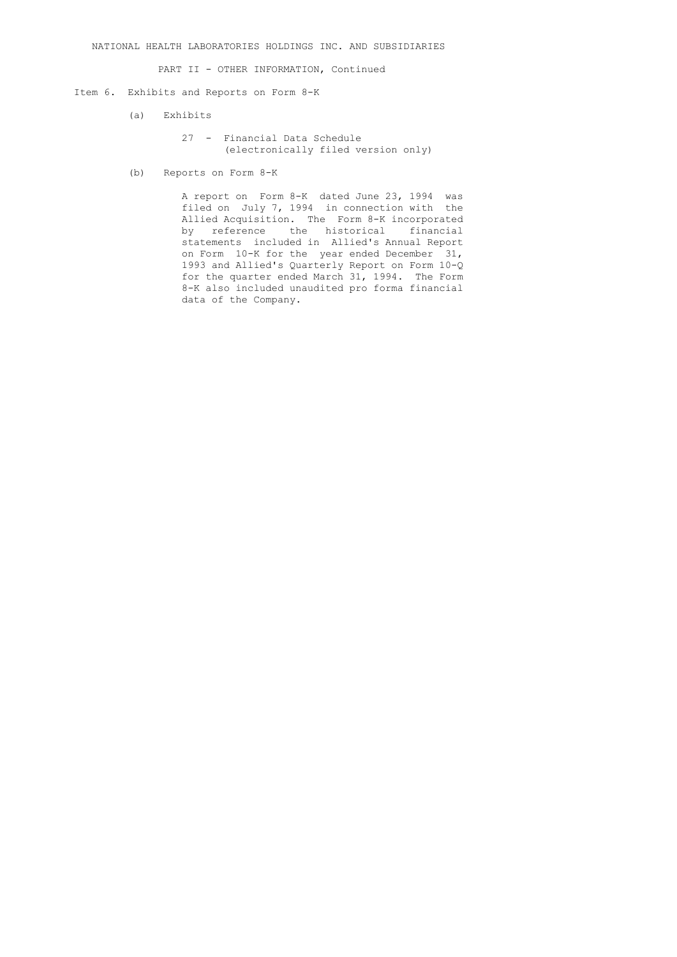PART II - OTHER INFORMATION, Continued

#### Item 6. Exhibits and Reports on Form 8-K

(a) Exhibits

- 27 Financial Data Schedule (electronically filed version only)
- (b) Reports on Form 8-K

 A report on Form 8-K dated June 23, 1994 was filed on July 7, 1994 in connection with the Allied Acquisition. The Form 8-K incorporated by reference the historical financial statements included in Allied's Annual Report on Form 10-K for the year ended December 31, 1993 and Allied's Quarterly Report on Form 10-Q for the quarter ended March 31, 1994. The Form 8-K also included unaudited pro forma financial data of the Company.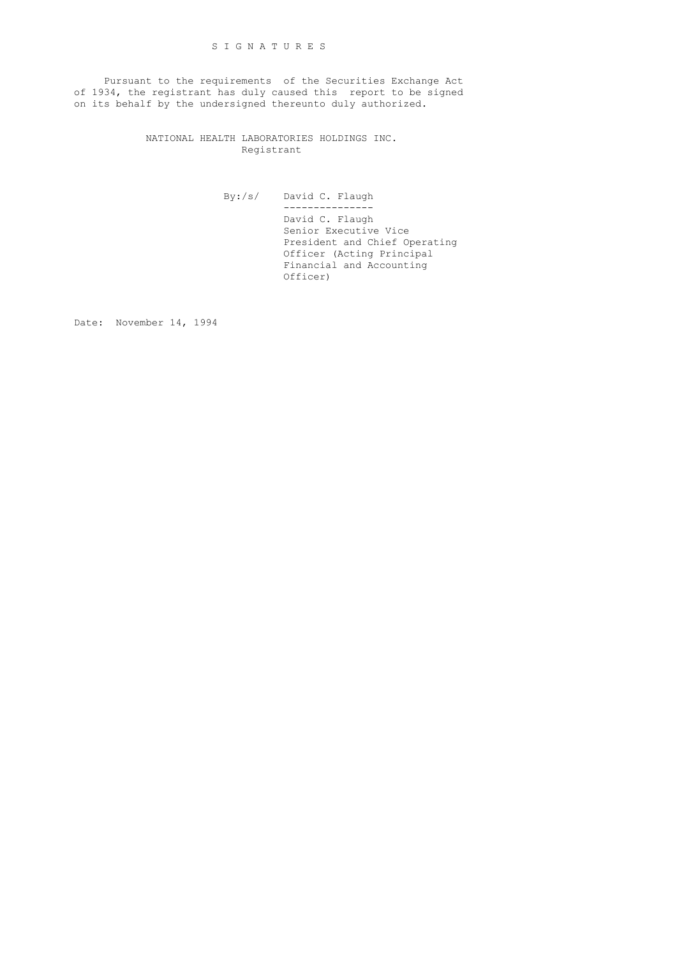Pursuant to the requirements of the Securities Exchange Act of 1934, the registrant has duly caused this report to be signed on its behalf by the undersigned thereunto duly authorized.

> NATIONAL HEALTH LABORATORIES HOLDINGS INC. Registrant

> > By:/s/ David C. Flaugh --------------- David C. Flaugh Senior Executive Vice President and Chief Operating Officer (Acting Principal Financial and Accounting Officer)

Date: November 14, 1994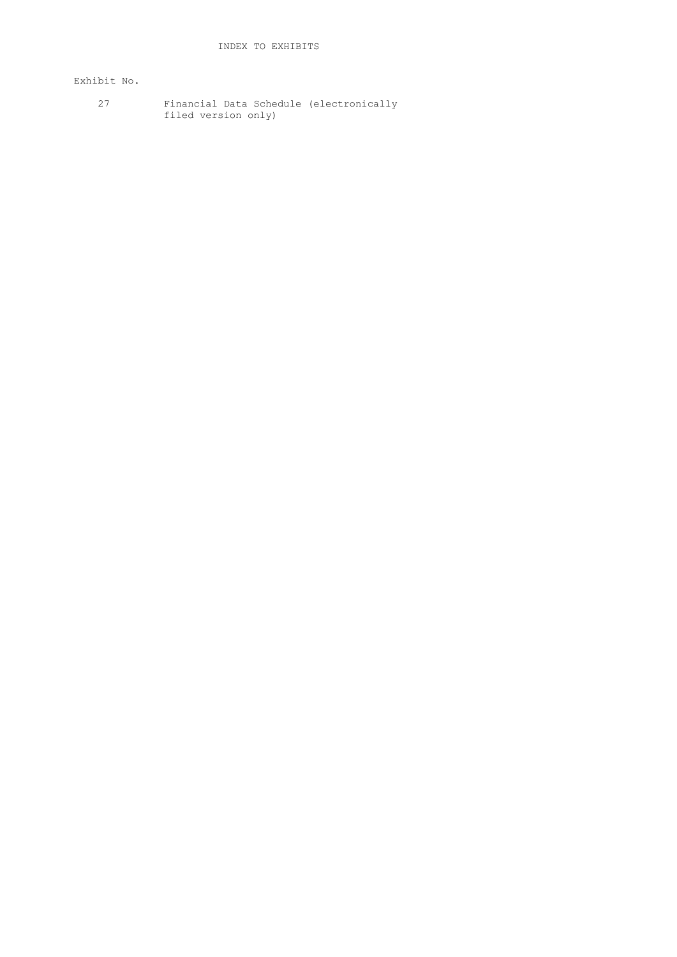# Exhibit No.

 27 Financial Data Schedule (electronically filed version only)